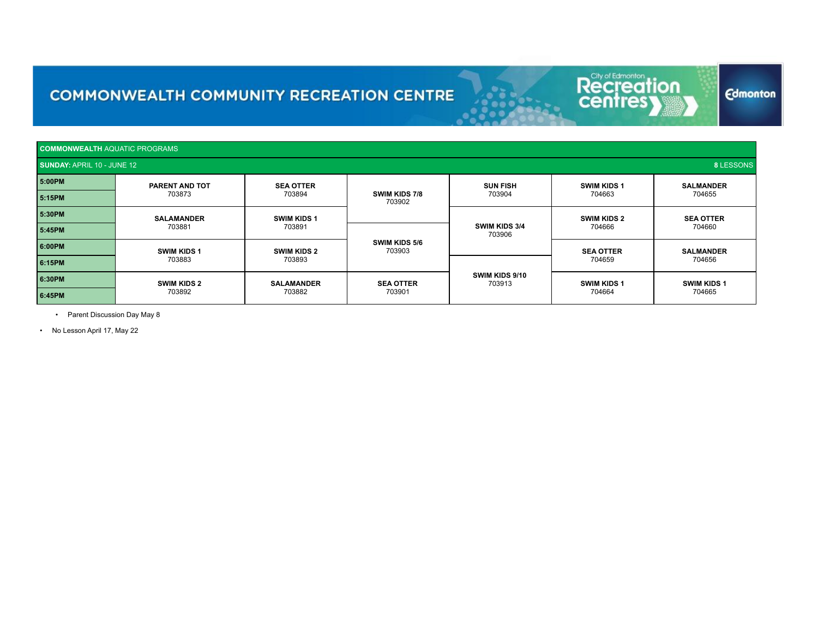# Recreation<br>centresy

**Edmonton** 

| <b>COMMONWEALTH AQUATIC PROGRAMS</b>           |                              |                              |                            |                          |                              |                              |
|------------------------------------------------|------------------------------|------------------------------|----------------------------|--------------------------|------------------------------|------------------------------|
| 8 LESSONS<br><b>SUNDAY: APRIL 10 - JUNE 12</b> |                              |                              |                            |                          |                              |                              |
| 5:00PM                                         | PARENT AND TOT               | <b>SEA OTTER</b>             |                            | <b>SUN FISH</b>          | <b>SWIM KIDS 1</b>           | <b>SALMANDER</b>             |
| 5:15PM                                         | 703873                       | 703894                       | SWIM KIDS 7/8<br>703902    | 703904                   | 704663                       | 704655                       |
| 5:30PM                                         | <b>SALAMANDER</b><br>703881  | <b>SWIM KIDS 1</b><br>703891 |                            | SWIM KIDS 3/4<br>703906  | <b>SWIM KIDS 2</b><br>704666 | <b>SEA OTTER</b><br>704660   |
| 5:45PM                                         |                              |                              | SWIM KIDS 5/6<br>703903    |                          |                              |                              |
| 6:00PM                                         | <b>SWIM KIDS 1</b><br>703883 | <b>SWIM KIDS 2</b><br>703893 |                            |                          | <b>SEA OTTER</b><br>704659   | <b>SALMANDER</b><br>704656   |
| 6:15PM                                         |                              |                              |                            | SWIM KIDS 9/10<br>703913 |                              |                              |
| 6:30PM                                         | <b>SWIM KIDS 2</b><br>703892 | <b>SALAMANDER</b><br>703882  | <b>SEA OTTER</b><br>703901 |                          | <b>SWIM KIDS 1</b><br>704664 | <b>SWIM KIDS 1</b><br>704665 |
| 6:45PM                                         |                              |                              |                            |                          |                              |                              |

• Parent Discussion Day May 8

• No Lesson April 17, May 22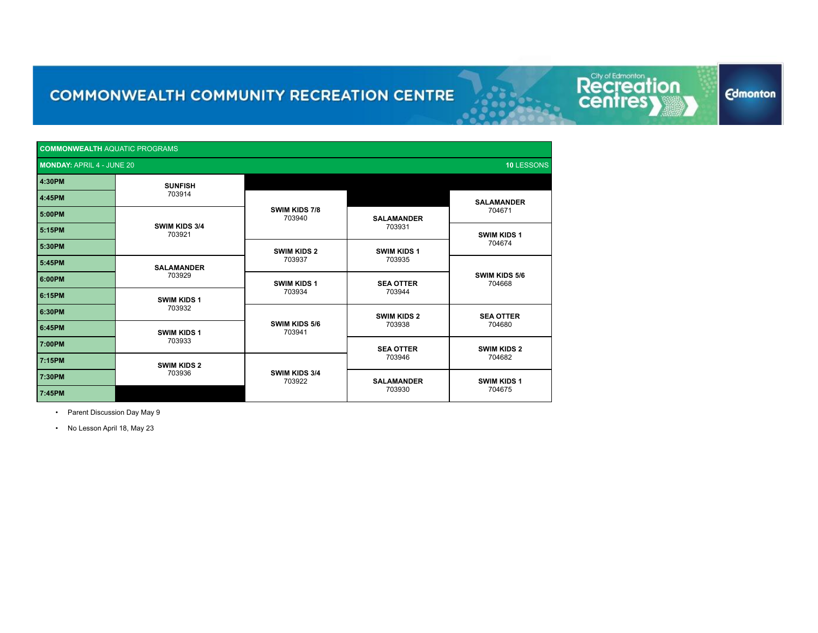**COMMONWEALTH** AQUATIC PROGRAMS **MONDAY:** APRIL 4 - JUNE 20 **10** LESSONS **10** LESSONS **4:30PM SUNFISH** 703914 **4:45PM SWIM KIDS 7/8** 703940 **SALAMANDER** <sup>704671</sup> **5:00PM SWIM KIDS 3/4** 703921 **SALAMANDER** <sup>703931</sup> **5:15PM SWIM KIDS 1** <sup>704674</sup> **5:30PM SWIM KIDS 2** 703937 **SWIM KIDS 1**<br>703935 <sup>703935</sup> **5:45PM SALAMANDER TO3929 SWIM KIDS 5/6**<br>**SWIM KIDS 1 SEA OTTER SEA OTTER** 704668 <sup>704668</sup> **6:00PM SWIM KIDS 1** 703934 **SEA OTTER**<br>703944 <sup>703944</sup> **6:15PM SWIM KIDS 1** <sup>703932</sup> **6:30PM SWIM KIDS 5/6** 703941 **SWIM KIDS 2** 703938 **SEA OTTER**<br>704680 <sup>704680</sup> **6:45PM SWIM KIDS 1** <sup>703933</sup> **7:00PM SEA OTTER** 703946 **SWIM KIDS 2** <sup>704682</sup> **7:15PM SWIM KIDS 2** 703936 **SWIM KIDS 3/4** 7:30PM **THE RESIDENT OF TAXABLE PARTICLES 703922 SALAMANDER** 703930 **SWIM KIDS 1** <sup>704675</sup> **7:45PM N/A**

Recreat

on

**Edmonton** 

• Parent Discussion Day May 9

• No Lesson April 18, May 23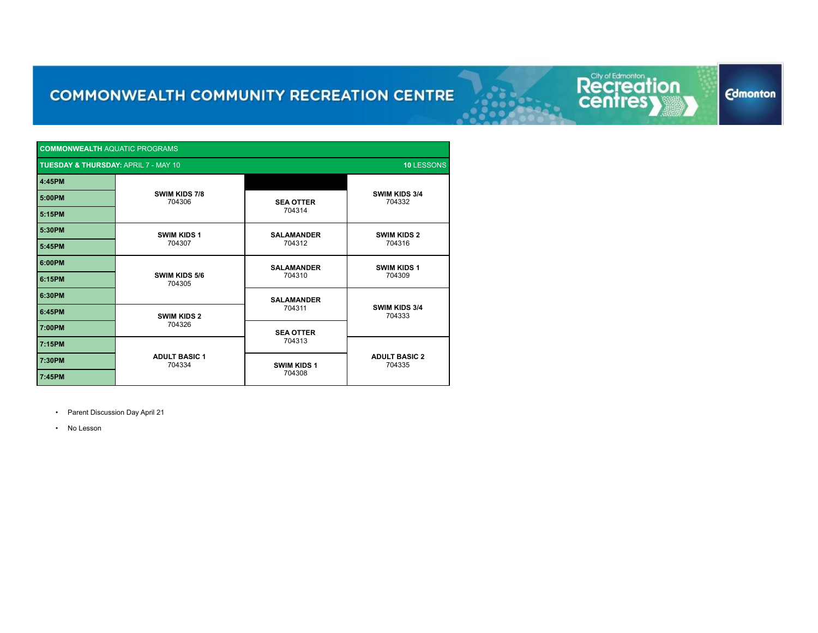Recreation<br>centresy

**Edmonton** 

| <b>COMMONWEALTH AQUATIC PROGRAMS</b>                          |                                |                             |                                |
|---------------------------------------------------------------|--------------------------------|-----------------------------|--------------------------------|
| 10 LESSONS<br><b>TUESDAY &amp; THURSDAY: APRIL 7 - MAY 10</b> |                                |                             |                                |
| 4:45PM                                                        | SWIM KIDS 7/8<br>704306        |                             | SWIM KIDS 3/4<br>704332        |
| 5:00PM                                                        |                                | <b>SEA OTTER</b>            |                                |
| 5:15PM                                                        |                                | 704314                      |                                |
| 5:30PM                                                        | <b>SWIM KIDS 1</b><br>704307   | <b>SALAMANDER</b><br>704312 | <b>SWIM KIDS 2</b><br>704316   |
| 5:45PM                                                        |                                |                             |                                |
| 6:00PM                                                        | <b>SWIM KIDS 5/6</b><br>704305 | <b>SALAMANDER</b>           | <b>SWIM KIDS 1</b><br>704309   |
| 6:15PM                                                        |                                | 704310                      |                                |
| 6:30PM                                                        |                                | <b>SALAMANDER</b>           | SWIM KIDS 3/4<br>704333        |
| 6:45PM                                                        | <b>SWIM KIDS 2</b><br>704326   | 704311                      |                                |
| 7:00PM                                                        |                                | <b>SEA OTTER</b>            |                                |
| 7:15PM                                                        | <b>ADULT BASIC 1</b><br>704334 | 704313                      | <b>ADULT BASIC 2</b><br>704335 |
| 7:30PM                                                        |                                | <b>SWIM KIDS 1</b>          |                                |
| 7:45PM                                                        |                                | 704308                      |                                |

• Parent Discussion Day April 21

• No Lesson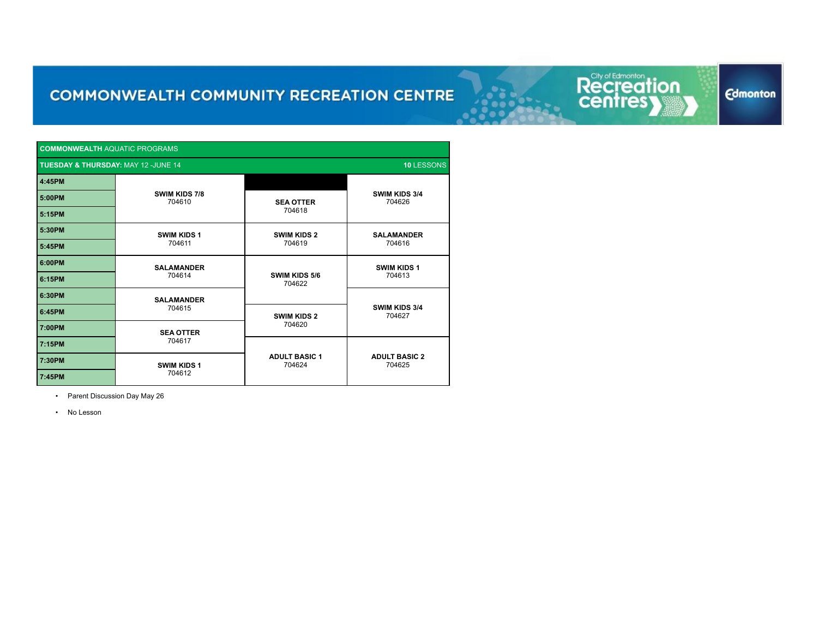| <b>COMMONWEALTH AQUATIC PROGRAMS</b>                         |                         |                                |                                |  |  |  |
|--------------------------------------------------------------|-------------------------|--------------------------------|--------------------------------|--|--|--|
| <b>TUESDAY &amp; THURSDAY: MAY 12 -JUNE 14</b><br>10 LESSONS |                         |                                |                                |  |  |  |
| 4:45PM                                                       |                         |                                |                                |  |  |  |
| 5:00PM                                                       | SWIM KIDS 7/8<br>704610 | <b>SEA OTTER</b>               | <b>SWIM KIDS 3/4</b><br>704626 |  |  |  |
| 5:15PM                                                       |                         | 704618                         |                                |  |  |  |
| 5:30PM                                                       | <b>SWIM KIDS 1</b>      | <b>SWIM KIDS 2</b>             | <b>SALAMANDER</b><br>704616    |  |  |  |
| 5:45PM                                                       | 704611                  | 704619                         |                                |  |  |  |
| 6:00PM                                                       | <b>SALAMANDER</b>       |                                | <b>SWIM KIDS 1</b><br>704613   |  |  |  |
| 6:15PM                                                       | 704614                  | SWIM KIDS 5/6<br>704622        |                                |  |  |  |
| 6:30PM                                                       | <b>SALAMANDER</b>       |                                | SWIM KIDS 3/4<br>704627        |  |  |  |
| 6:45PM                                                       | 704615                  | <b>SWIM KIDS 2</b>             |                                |  |  |  |
| 7:00PM                                                       | <b>SEA OTTER</b>        | 704620                         |                                |  |  |  |
| 7:15PM                                                       | 704617                  |                                | <b>ADULT BASIC 2</b><br>704625 |  |  |  |
| 7:30PM                                                       | <b>SWIM KIDS 1</b>      | <b>ADULT BASIC 1</b><br>704624 |                                |  |  |  |
| 7:45PM                                                       | 704612                  |                                |                                |  |  |  |

• Parent Discussion Day May 26

• No Lesson

#### **Edmonton**

Recreation

on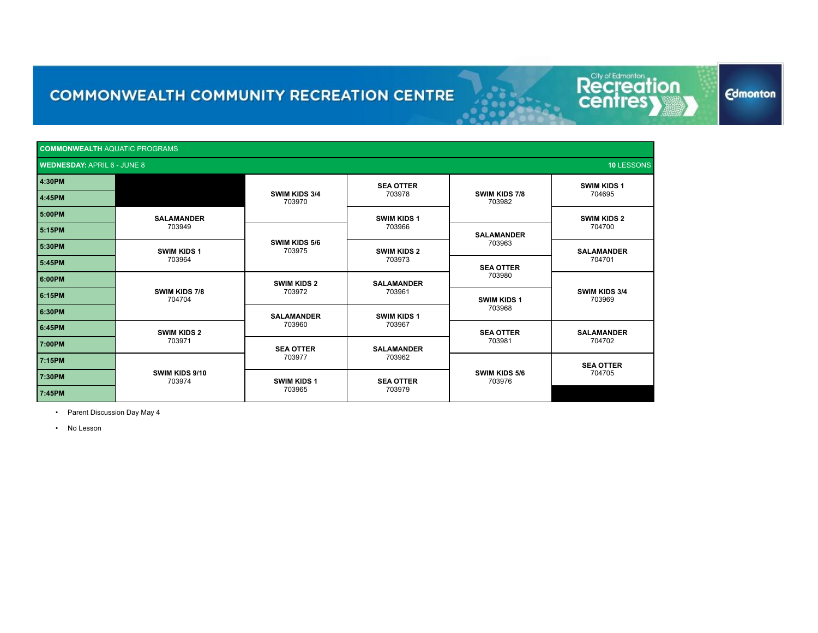| <b>COMMONWEALTH AQUATIC PROGRAMS</b> |                                                  |                              |                              |                              |                              |  |
|--------------------------------------|--------------------------------------------------|------------------------------|------------------------------|------------------------------|------------------------------|--|
|                                      | <b>WEDNESDAY: APRIL 6 - JUNE 8</b><br>10 LESSONS |                              |                              |                              |                              |  |
| 4:30PM                               |                                                  |                              | <b>SEA OTTER</b>             |                              | <b>SWIM KIDS 1</b>           |  |
| 4:45PM                               |                                                  | SWIM KIDS 3/4<br>703970      | 703978                       | SWIM KIDS 7/8<br>703982      | 704695                       |  |
| 5:00PM                               | <b>SALAMANDER</b><br>703949                      |                              | <b>SWIM KIDS 1</b>           |                              | <b>SWIM KIDS 2</b><br>704700 |  |
| 5:15PM                               |                                                  |                              | 703966                       | <b>SALAMANDER</b><br>703963  |                              |  |
| 5:30PM                               | <b>SWIM KIDS 1</b><br>703964                     | SWIM KIDS 5/6<br>703975      | <b>SWIM KIDS 2</b><br>703973 |                              | <b>SALAMANDER</b><br>704701  |  |
| 5:45PM                               |                                                  |                              |                              | <b>SEA OTTER</b><br>703980   |                              |  |
| 6:00PM                               | <b>SWIM KIDS 7/8</b><br>704704                   | <b>SWIM KIDS 2</b><br>703972 | <b>SALAMANDER</b><br>703961  |                              | SWIM KIDS 3/4<br>703969      |  |
| 6:15PM                               |                                                  |                              |                              | <b>SWIM KIDS 1</b><br>703968 |                              |  |
| 6:30PM                               |                                                  | <b>SALAMANDER</b><br>703960  | <b>SWIM KIDS 1</b><br>703967 |                              |                              |  |
| 6:45PM                               | <b>SWIM KIDS 2</b><br>703971                     |                              |                              | <b>SEA OTTER</b><br>703981   | <b>SALAMANDER</b><br>704702  |  |
| 7:00PM                               |                                                  | <b>SEA OTTER</b><br>703977   | <b>SALAMANDER</b><br>703962  |                              |                              |  |
| 7:15PM                               | SWIM KIDS 9/10<br>703974                         |                              |                              | SWIM KIDS 5/6<br>703976      | <b>SEA OTTER</b>             |  |
| 7:30PM                               |                                                  | <b>SWIM KIDS 1</b><br>703965 | <b>SEA OTTER</b><br>703979   |                              | 704705                       |  |
| 7:45PM                               |                                                  |                              |                              |                              |                              |  |

• Parent Discussion Day May 4

• No Lesson

**Edmonton** 

Recreation

ion